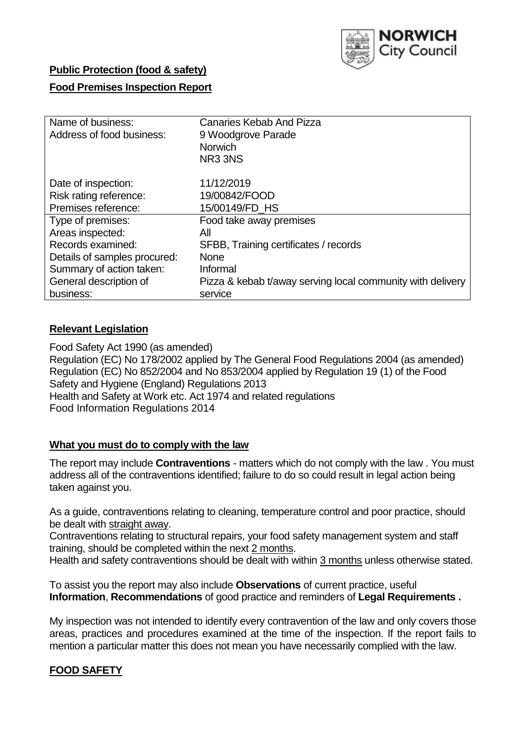

# **Public Protection (food & safety)**

## **Food Premises Inspection Report**

| Name of business:<br>Address of food business: | <b>Canaries Kebab And Pizza</b><br>9 Woodgrove Parade<br><b>Norwich</b> |  |  |  |  |
|------------------------------------------------|-------------------------------------------------------------------------|--|--|--|--|
|                                                | NR33NS                                                                  |  |  |  |  |
| Date of inspection:                            | 11/12/2019                                                              |  |  |  |  |
| Risk rating reference:                         | 19/00842/FOOD                                                           |  |  |  |  |
| Premises reference:                            | 15/00149/FD HS                                                          |  |  |  |  |
| Type of premises:                              | Food take away premises                                                 |  |  |  |  |
| Areas inspected:                               | All                                                                     |  |  |  |  |
| Records examined:                              | SFBB, Training certificates / records                                   |  |  |  |  |
| Details of samples procured:                   | <b>None</b>                                                             |  |  |  |  |
| Summary of action taken:                       | Informal                                                                |  |  |  |  |
| General description of                         | Pizza & kebab t/away serving local community with delivery              |  |  |  |  |
| business:                                      | service                                                                 |  |  |  |  |

# **Relevant Legislation**

Food Safety Act 1990 (as amended) Regulation (EC) No 178/2002 applied by The General Food Regulations 2004 (as amended) Regulation (EC) No 852/2004 and No 853/2004 applied by Regulation 19 (1) of the Food Safety and Hygiene (England) Regulations 2013 Health and Safety at Work etc. Act 1974 and related regulations Food Information Regulations 2014

## **What you must do to comply with the law**

The report may include **Contraventions** - matters which do not comply with the law . You must address all of the contraventions identified; failure to do so could result in legal action being taken against you.

As a guide, contraventions relating to cleaning, temperature control and poor practice, should be dealt with straight away.

Contraventions relating to structural repairs, your food safety management system and staff training, should be completed within the next 2 months.

Health and safety contraventions should be dealt with within 3 months unless otherwise stated.

To assist you the report may also include **Observations** of current practice, useful **Information**, **Recommendations** of good practice and reminders of **Legal Requirements .**

My inspection was not intended to identify every contravention of the law and only covers those areas, practices and procedures examined at the time of the inspection. If the report fails to mention a particular matter this does not mean you have necessarily complied with the law.

# **FOOD SAFETY**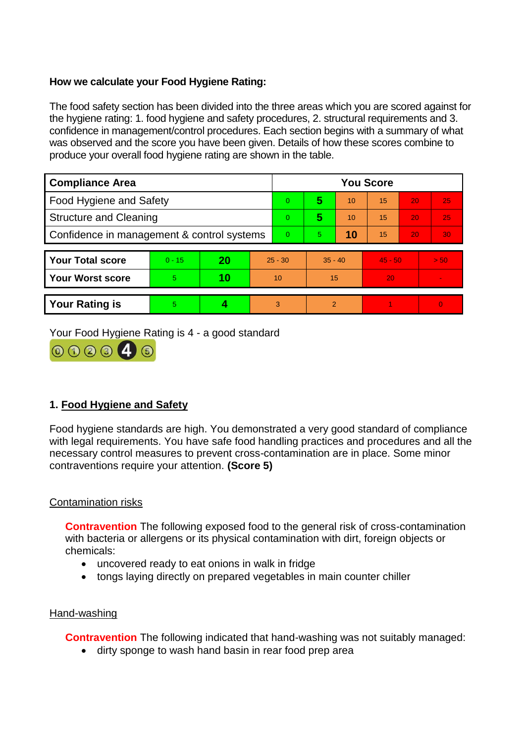# **How we calculate your Food Hygiene Rating:**

The food safety section has been divided into the three areas which you are scored against for the hygiene rating: 1. food hygiene and safety procedures, 2. structural requirements and 3. confidence in management/control procedures. Each section begins with a summary of what was observed and the score you have been given. Details of how these scores combine to produce your overall food hygiene rating are shown in the table.

| <b>Compliance Area</b>                     |          |    |          | <b>You Score</b> |                |    |           |    |          |  |  |
|--------------------------------------------|----------|----|----------|------------------|----------------|----|-----------|----|----------|--|--|
| Food Hygiene and Safety                    |          |    |          | $\overline{0}$   | 5              | 10 | 15        | 20 | 25       |  |  |
| <b>Structure and Cleaning</b>              |          |    |          | $\overline{0}$   | 5              | 10 | 15        | 20 | 25       |  |  |
| Confidence in management & control systems |          |    | $\Omega$ | 5.               | 10             | 15 | 20        | 30 |          |  |  |
|                                            |          |    |          |                  |                |    |           |    |          |  |  |
| <b>Your Total score</b>                    | $0 - 15$ | 20 |          | $25 - 30$        | $35 - 40$      |    | $45 - 50$ |    | > 50     |  |  |
| <b>Your Worst score</b>                    | 5        | 10 |          | 10               | 15             |    | 20        |    |          |  |  |
|                                            |          |    |          |                  |                |    |           |    |          |  |  |
| <b>Your Rating is</b>                      | 5.       |    |          | 3                | $\overline{2}$ |    |           |    | $\Omega$ |  |  |

Your Food Hygiene Rating is 4 - a good standard



# **1. Food Hygiene and Safety**

Food hygiene standards are high. You demonstrated a very good standard of compliance with legal requirements. You have safe food handling practices and procedures and all the necessary control measures to prevent cross-contamination are in place. Some minor contraventions require your attention. **(Score 5)**

## Contamination risks

**Contravention** The following exposed food to the general risk of cross-contamination with bacteria or allergens or its physical contamination with dirt, foreign objects or chemicals:

- uncovered ready to eat onions in walk in fridge
- tongs laying directly on prepared vegetables in main counter chiller

## Hand-washing

**Contravention** The following indicated that hand-washing was not suitably managed:

• dirty sponge to wash hand basin in rear food prep area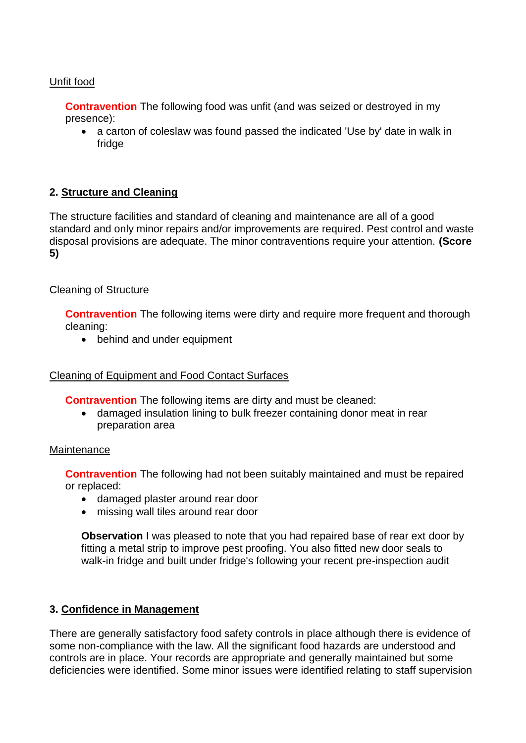## Unfit food

**Contravention** The following food was unfit (and was seized or destroyed in my presence):

 a carton of coleslaw was found passed the indicated 'Use by' date in walk in fridge

# **2. Structure and Cleaning**

The structure facilities and standard of cleaning and maintenance are all of a good standard and only minor repairs and/or improvements are required. Pest control and waste disposal provisions are adequate. The minor contraventions require your attention. **(Score 5)**

## Cleaning of Structure

**Contravention** The following items were dirty and require more frequent and thorough cleaning:

• behind and under equipment

## Cleaning of Equipment and Food Contact Surfaces

**Contravention** The following items are dirty and must be cleaned:

 damaged insulation lining to bulk freezer containing donor meat in rear preparation area

### Maintenance

**Contravention** The following had not been suitably maintained and must be repaired or replaced:

- damaged plaster around rear door
- missing wall tiles around rear door

**Observation** I was pleased to note that you had repaired base of rear ext door by fitting a metal strip to improve pest proofing. You also fitted new door seals to walk-in fridge and built under fridge's following your recent pre-inspection audit

## **3. Confidence in Management**

There are generally satisfactory food safety controls in place although there is evidence of some non-compliance with the law. All the significant food hazards are understood and controls are in place. Your records are appropriate and generally maintained but some deficiencies were identified. Some minor issues were identified relating to staff supervision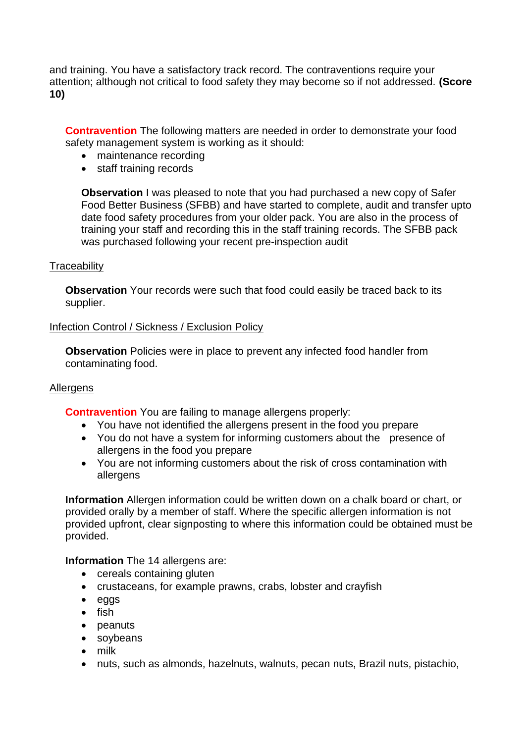and training. You have a satisfactory track record. The contraventions require your attention; although not critical to food safety they may become so if not addressed. **(Score 10)**

**Contravention** The following matters are needed in order to demonstrate your food safety management system is working as it should:

- maintenance recording
- staff training records

**Observation** I was pleased to note that you had purchased a new copy of Safer Food Better Business (SFBB) and have started to complete, audit and transfer upto date food safety procedures from your older pack. You are also in the process of training your staff and recording this in the staff training records. The SFBB pack was purchased following your recent pre-inspection audit

### **Traceability**

**Observation** Your records were such that food could easily be traced back to its supplier.

## Infection Control / Sickness / Exclusion Policy

**Observation** Policies were in place to prevent any infected food handler from contaminating food.

### Allergens

**Contravention** You are failing to manage allergens properly:

- You have not identified the allergens present in the food you prepare
- You do not have a system for informing customers about the presence of allergens in the food you prepare
- You are not informing customers about the risk of cross contamination with allergens

**Information** Allergen information could be written down on a chalk board or chart, or provided orally by a member of staff. Where the specific allergen information is not provided upfront, clear signposting to where this information could be obtained must be provided.

### **Information** The 14 allergens are:

- cereals containing gluten
- crustaceans, for example prawns, crabs, lobster and crayfish
- eggs
- $\bullet$  fish
- peanuts
- soybeans
- milk
- nuts, such as almonds, hazelnuts, walnuts, pecan nuts, Brazil nuts, pistachio,